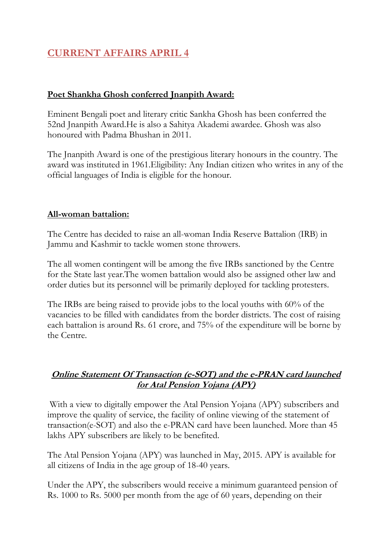# **CURRENT AFFAIRS APRIL 4**

## **Poet Shankha Ghosh conferred Jnanpith Award:**

Eminent Bengali poet and literary critic Sankha Ghosh has been conferred the 52nd Jnanpith Award.He is also a Sahitya Akademi awardee. Ghosh was also honoured with Padma Bhushan in 2011.

The Jnanpith Award is one of the prestigious literary honours in the country. The award was instituted in 1961.Eligibility: Any Indian citizen who writes in any of the official languages of India is eligible for the honour.

### **All-woman battalion:**

The Centre has decided to raise an all-woman India Reserve Battalion (IRB) in Jammu and Kashmir to tackle women stone throwers.

The all women contingent will be among the five IRBs sanctioned by the Centre for the State last year.The women battalion would also be assigned other law and order duties but its personnel will be primarily deployed for tackling protesters.

The IRBs are being raised to provide jobs to the local youths with 60% of the vacancies to be filled with candidates from the border districts. The cost of raising each battalion is around Rs. 61 crore, and 75% of the expenditure will be borne by the Centre.

### **Online Statement Of Transaction (e-SOT) and the e-PRAN card launched for Atal Pension Yojana (APY)**

With a view to digitally empower the Atal Pension Yojana (APY) subscribers and improve the quality of service, the facility of online viewing of the statement of transaction(e-SOT) and also the e-PRAN card have been launched. More than 45 lakhs APY subscribers are likely to be benefited.

The Atal Pension Yojana (APY) was launched in May, 2015. APY is available for all citizens of India in the age group of 18-40 years.

Under the APY, the subscribers would receive a minimum guaranteed pension of Rs. 1000 to Rs. 5000 per month from the age of 60 years, depending on their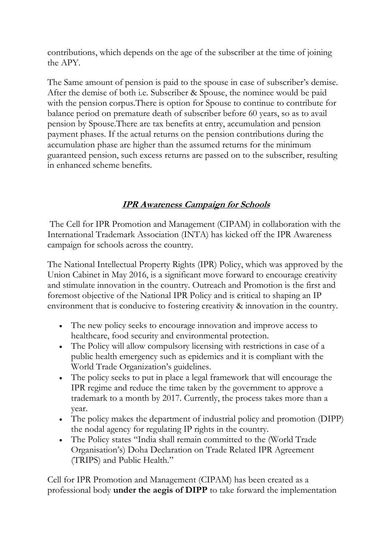contributions, which depends on the age of the subscriber at the time of joining the APY.

The Same amount of pension is paid to the spouse in case of subscriber's demise. After the demise of both i.e. Subscriber & Spouse, the nominee would be paid with the pension corpus. There is option for Spouse to continue to contribute for balance period on premature death of subscriber before 60 years, so as to avail pension by Spouse.There are tax benefits at entry, accumulation and pension payment phases. If the actual returns on the pension contributions during the accumulation phase are higher than the assumed returns for the minimum guaranteed pension, such excess returns are passed on to the subscriber, resulting in enhanced scheme benefits.

# **IPR Awareness Campaign for Schools**

The Cell for IPR Promotion and Management (CIPAM) in collaboration with the International Trademark Association (INTA) has kicked off the IPR Awareness campaign for schools across the country.

The National Intellectual Property Rights (IPR) Policy, which was approved by the Union Cabinet in May 2016, is a significant move forward to encourage creativity and stimulate innovation in the country. Outreach and Promotion is the first and foremost objective of the National IPR Policy and is critical to shaping an IP environment that is conducive to fostering creativity & innovation in the country.

- The new policy seeks to encourage innovation and improve access to healthcare, food security and environmental protection.
- The Policy will allow compulsory licensing with restrictions in case of a public health emergency such as epidemics and it is compliant with the World Trade Organization's guidelines.
- The policy seeks to put in place a legal framework that will encourage the IPR regime and reduce the time taken by the government to approve a trademark to a month by 2017. Currently, the process takes more than a year.
- The policy makes the department of industrial policy and promotion (DIPP) the nodal agency for regulating IP rights in the country.
- The Policy states "India shall remain committed to the (World Trade Organisation's) Doha Declaration on Trade Related IPR Agreement (TRIPS) and Public Health."

Cell for IPR Promotion and Management (CIPAM) has been created as a professional body **under the aegis of DIPP** to take forward the implementation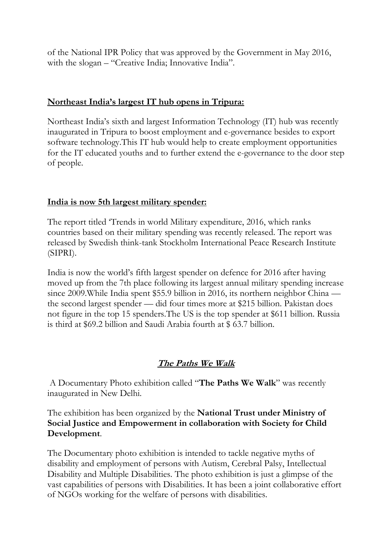of the National IPR Policy that was approved by the Government in May 2016, with the slogan – "Creative India; Innovative India".

### **Northeast India's largest IT hub opens in Tripura:**

Northeast India's sixth and largest Information Technology (IT) hub was recently inaugurated in Tripura to boost employment and e-governance besides to export software technology.This IT hub would help to create employment opportunities for the IT educated youths and to further extend the e-governance to the door step of people.

## **India is now 5th largest military spender:**

The report titled 'Trends in world Military expenditure, 2016, which ranks countries based on their military spending was recently released. The report was released by Swedish think-tank Stockholm International Peace Research Institute (SIPRI).

India is now the world's fifth largest spender on defence for 2016 after having moved up from the 7th place following its largest annual military spending increase since 2009. While India spent \$55.9 billion in 2016, its northern neighbor China the second largest spender — did four times more at \$215 billion. Pakistan does not figure in the top 15 spenders.The US is the top spender at \$611 billion. Russia is third at \$69.2 billion and Saudi Arabia fourth at \$ 63.7 billion.

# **The Paths We Walk**

A Documentary Photo exhibition called "**The Paths We Walk**" was recently inaugurated in New Delhi.

The exhibition has been organized by the **National Trust under Ministry of Social Justice and Empowerment in collaboration with Society for Child Development**.

The Documentary photo exhibition is intended to tackle negative myths of disability and employment of persons with Autism, Cerebral Palsy, Intellectual Disability and Multiple Disabilities. The photo exhibition is just a glimpse of the vast capabilities of persons with Disabilities. It has been a joint collaborative effort of NGOs working for the welfare of persons with disabilities.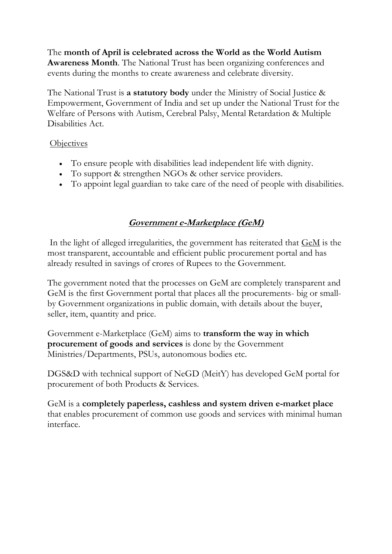The **month of April is celebrated across the World as the World Autism Awareness Month**. The National Trust has been organizing conferences and events during the months to create awareness and celebrate diversity.

The National Trust is **a statutory body** under the Ministry of Social Justice & Empowerment, Government of India and set up under the National Trust for the Welfare of Persons with Autism, Cerebral Palsy, Mental Retardation & Multiple Disabilities Act.

## **Objectives**

- To ensure people with disabilities lead independent life with dignity.
- To support & strengthen NGOs & other service providers.
- To appoint legal guardian to take care of the need of people with disabilities.

# **Government e-Marketplace (GeM)**

In the light of alleged irregularities, the government has reiterated that [GeM](https://gem.gov.in/) is the most transparent, accountable and efficient public procurement portal and has already resulted in savings of crores of Rupees to the Government.

The government noted that the processes on GeM are completely transparent and GeM is the first Government portal that places all the procurements- big or smallby Government organizations in public domain, with details about the buyer, seller, item, quantity and price.

Government e-Marketplace (GeM) aims to **transform the way in which procurement of goods and services** is done by the Government Ministries/Departments, PSUs, autonomous bodies etc.

DGS&D with technical support of NeGD (MeitY) has developed GeM portal for procurement of both Products & Services.

GeM is a **completely paperless, cashless and system driven e-market place** that enables procurement of common use goods and services with minimal human interface.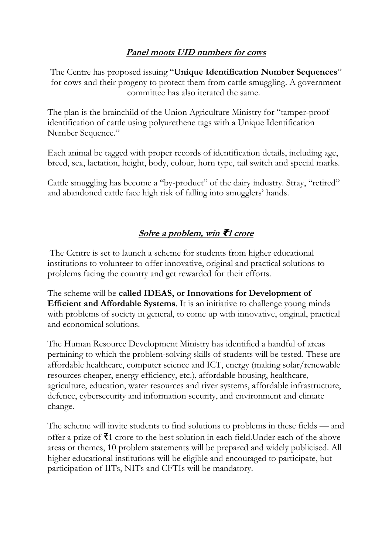# **Panel moots UID numbers for cows**

The Centre has proposed issuing "**Unique Identification Number Sequences**" for cows and their progeny to protect them from cattle smuggling. A government committee has also iterated the same.

The plan is the brainchild of the Union Agriculture Ministry for "tamper-proof identification of cattle using polyurethene tags with a Unique Identification Number Sequence."

Each animal be tagged with proper records of identification details, including age, breed, sex, lactation, height, body, colour, horn type, tail switch and special marks.

Cattle smuggling has become a "by-product" of the dairy industry. Stray, "retired" and abandoned cattle face high risk of falling into smugglers' hands.

# **Solve a problem, win ₹1 crore**

The Centre is set to launch a scheme for students from higher educational institutions to volunteer to offer innovative, original and practical solutions to problems facing the country and get rewarded for their efforts.

The scheme will be **called IDEAS, or Innovations for Development of Efficient and Affordable Systems**. It is an initiative to challenge young minds with problems of society in general, to come up with innovative, original, practical and economical solutions.

The Human Resource Development Ministry has identified a handful of areas pertaining to which the problem-solving skills of students will be tested. These are affordable healthcare, computer science and ICT, energy (making solar/renewable resources cheaper, energy efficiency, etc.), affordable housing, healthcare, agriculture, education, water resources and river systems, affordable infrastructure, defence, cybersecurity and information security, and environment and climate change.

The scheme will invite students to find solutions to problems in these fields — and offer a prize of  $\bar{\mathbf{z}}$ 1 crore to the best solution in each field. Under each of the above areas or themes, 10 problem statements will be prepared and widely publicised. All higher educational institutions will be eligible and encouraged to participate, but participation of IITs, NITs and CFTIs will be mandatory.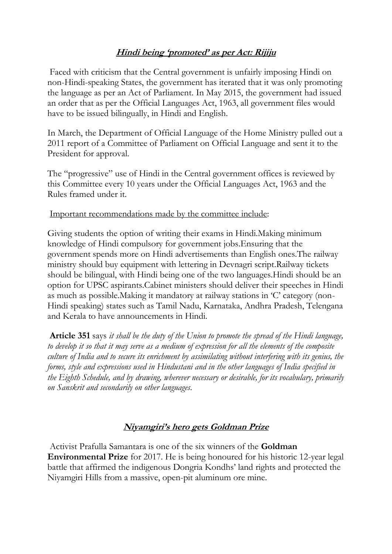# **Hindi being 'promoted' as per Act: Rijiju**

Faced with criticism that the Central government is unfairly imposing Hindi on non-Hindi-speaking States, the government has iterated that it was only promoting the language as per an Act of Parliament. In May 2015, the government had issued an order that as per the Official Languages Act, 1963, all government files would have to be issued bilingually, in Hindi and English.

In March, the Department of Official Language of the Home Ministry pulled out a 2011 report of a Committee of Parliament on Official Language and sent it to the President for approval.

The "progressive" use of Hindi in the Central government offices is reviewed by this Committee every 10 years under the Official Languages Act, 1963 and the Rules framed under it.

#### Important recommendations made by the committee include:

Giving students the option of writing their exams in Hindi.Making minimum knowledge of Hindi compulsory for government jobs.Ensuring that the government spends more on Hindi advertisements than English ones.The railway ministry should buy equipment with lettering in Devnagri script.Railway tickets should be bilingual, with Hindi being one of the two languages.Hindi should be an option for UPSC aspirants.Cabinet ministers should deliver their speeches in Hindi as much as possible.Making it mandatory at railway stations in 'C' category (non-Hindi speaking) states such as Tamil Nadu, Karnataka, Andhra Pradesh, Telengana and Kerala to have announcements in Hindi.

**Article 351** says *it shall be the duty of the Union to promote the spread of the Hindi language, to develop it so that it may serve as a medium of expression for all the elements of the composite culture of India and to secure its enrichment by assimilating without interfering with its genius, the forms, style and expressions used in Hindustani and in the other languages of India specified in the Eighth Schedule, and by drawing, wherever necessary or desirable, for its vocabulary, primarily on Sanskrit and secondarily on other languages*.

### **Niyamgiri's hero gets Goldman Prize**

Activist Prafulla Samantara is one of the six winners of the **Goldman Environmental Prize** for 2017. He is being honoured for his historic 12-year legal battle that affirmed the indigenous Dongria Kondhs' land rights and protected the Niyamgiri Hills from a massive, open-pit aluminum ore mine.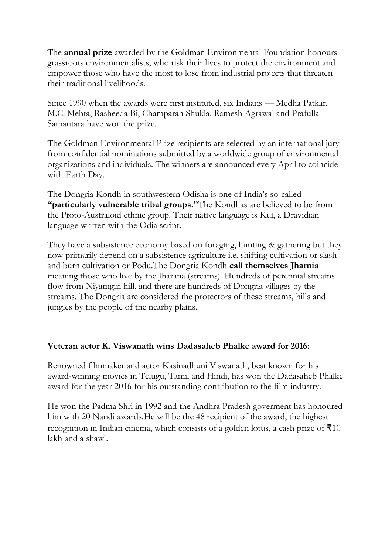The **annual prize** awarded by the Goldman Environmental Foundation honours grassroots environmentalists, who risk their lives to protect the environment and empower those who have the most to lose from industrial projects that threaten their traditional livelihoods.

Since 1990 when the awards were first instituted, six Indians — Medha Patkar, M.C. Mehta, Rasheeda Bi, Champaran Shukla, Ramesh Agrawal and Prafulla Samantara have won the prize.

The Goldman Environmental Prize recipients are selected by an international jury from confidential nominations submitted by a worldwide group of environmental organizations and individuals. The winners are announced every April to coincide with Earth Day.

The Dongria Kondh in southwestern Odisha is one of India's so-called **"particularly vulnerable tribal groups."**The Kondhas are believed to be from the Proto-Australoid ethnic group. Their native language is Kui, a Dravidian language written with the Odia script.

They have a subsistence economy based on foraging, hunting & gathering but they now primarily depend on a subsistence agriculture i.e. shifting cultivation or slash and burn cultivation or Podu.The Dongria Kondh **call themselves Jharnia** meaning those who live by the Jharana (streams). Hundreds of perennial streams flow from Niyamgiri hill, and there are hundreds of Dongria villages by the streams. The Dongria are considered the protectors of these streams, hills and jungles by the people of the nearby plains.

### **Veteran actor K. Viswanath wins Dadasaheb Phalke award for 2016:**

Renowned filmmaker and actor Kasinadhuni Viswanath, best known for his award-winning movies in Telugu, Tamil and Hindi, has won the Dadasaheb Phalke award for the year 2016 for his outstanding contribution to the film industry.

He won the Padma Shri in 1992 and the Andhra Pradesh goverment has honoured him with 20 Nandi awards.He will be the 48 recipient of the award, the highest recognition in Indian cinema, which consists of a golden lotus, a cash prize of  $\bar{x}$ 10 lakh and a shawl.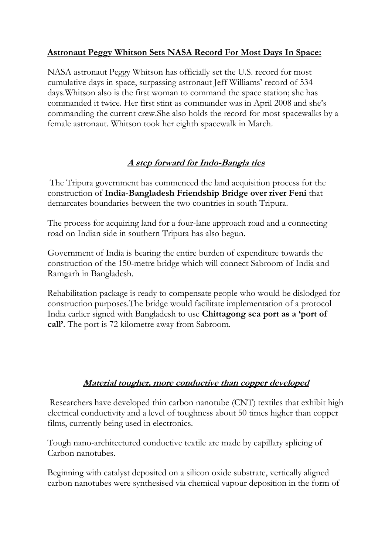# **Astronaut Peggy Whitson Sets NASA Record For Most Days In Space:**

NASA astronaut Peggy Whitson has officially set the U.S. record for most cumulative days in space, surpassing astronaut Jeff Williams' record of 534 days.Whitson also is the first woman to command the space station; she has commanded it twice. Her first stint as commander was in April 2008 and she's commanding the current crew.She also holds the record for most spacewalks by a female astronaut. Whitson took her eighth spacewalk in March.

# **A step forward for Indo-Bangla ties**

The Tripura government has commenced the land acquisition process for the construction of **India-Bangladesh Friendship Bridge over river Feni** that demarcates boundaries between the two countries in south Tripura.

The process for acquiring land for a four-lane approach road and a connecting road on Indian side in southern Tripura has also begun.

Government of India is bearing the entire burden of expenditure towards the construction of the 150-metre bridge which will connect Sabroom of India and Ramgarh in Bangladesh.

Rehabilitation package is ready to compensate people who would be dislodged for construction purposes.The bridge would facilitate implementation of a protocol India earlier signed with Bangladesh to use **Chittagong sea port as a 'port of call'**. The port is 72 kilometre away from Sabroom.

### **Material tougher, more conductive than copper developed**

Researchers have developed thin carbon nanotube (CNT) textiles that exhibit high electrical conductivity and a level of toughness about 50 times higher than copper films, currently being used in electronics.

Tough nano-architectured conductive textile are made by capillary splicing of Carbon nanotubes.

Beginning with catalyst deposited on a silicon oxide substrate, vertically aligned carbon nanotubes were synthesised via chemical vapour deposition in the form of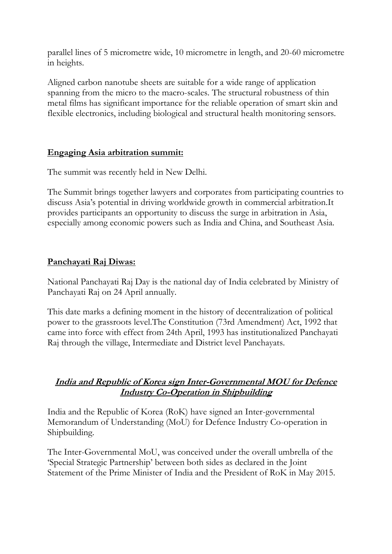parallel lines of 5 micrometre wide, 10 micrometre in length, and 20-60 micrometre in heights.

Aligned carbon nanotube sheets are suitable for a wide range of application spanning from the micro to the macro-scales. The structural robustness of thin metal films has significant importance for the reliable operation of smart skin and flexible electronics, including biological and structural health monitoring sensors.

### **Engaging Asia arbitration summit:**

The summit was recently held in New Delhi.

The Summit brings together lawyers and corporates from participating countries to discuss Asia's potential in driving worldwide growth in commercial arbitration.It provides participants an opportunity to discuss the surge in arbitration in Asia, especially among economic powers such as India and China, and Southeast Asia.

# **Panchayati Raj Diwas:**

National Panchayati Raj Day is the national day of India celebrated by Ministry of Panchayati Raj on 24 April annually.

This date marks a defining moment in the history of decentralization of political power to the grassroots level.The Constitution (73rd Amendment) Act, 1992 that came into force with effect from 24th April, 1993 has institutionalized Panchayati Raj through the village, Intermediate and District level Panchayats.

# **India and Republic of Korea sign Inter-Governmental MOU for Defence Industry Co-Operation in Shipbuilding**

India and the Republic of Korea (RoK) have signed an Inter-governmental Memorandum of Understanding (MoU) for Defence Industry Co-operation in Shipbuilding.

The Inter-Governmental MoU, was conceived under the overall umbrella of the 'Special Strategic Partnership' between both sides as declared in the Joint Statement of the Prime Minister of India and the President of RoK in May 2015.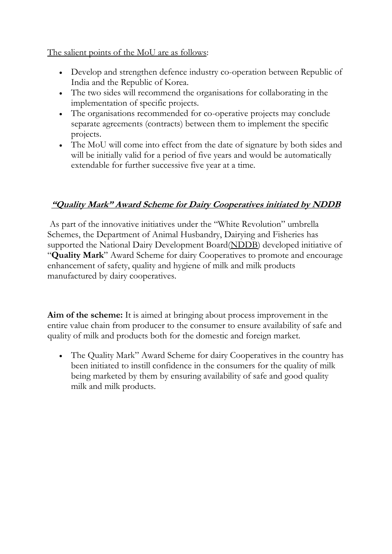The salient points of the MoU are as follows:

- Develop and strengthen defence industry co-operation between Republic of India and the Republic of Korea.
- The two sides will recommend the organisations for collaborating in the implementation of specific projects.
- The organisations recommended for co-operative projects may conclude separate agreements (contracts) between them to implement the specific projects.
- The MoU will come into effect from the date of signature by both sides and will be initially valid for a period of five years and would be automatically extendable for further successive five year at a time.

# **"Quality Mark" Award Scheme for Dairy Cooperatives initiated by NDDB**

As part of the innovative initiatives under the "White Revolution" umbrella Schemes, the Department of Animal Husbandry, Dairying and Fisheries has supported the National Dairy Development Board[\(NDDB\)](http://www.nddb.org/) developed initiative of "**Quality Mark**" Award Scheme for dairy Cooperatives to promote and encourage enhancement of safety, quality and hygiene of milk and milk products manufactured by dairy cooperatives.

**Aim of the scheme:** It is aimed at bringing about process improvement in the entire value chain from producer to the consumer to ensure availability of safe and quality of milk and products both for the domestic and foreign market.

 The Quality Mark" Award Scheme for dairy Cooperatives in the country has been initiated to instill confidence in the consumers for the quality of milk being marketed by them by ensuring availability of safe and good quality milk and milk products.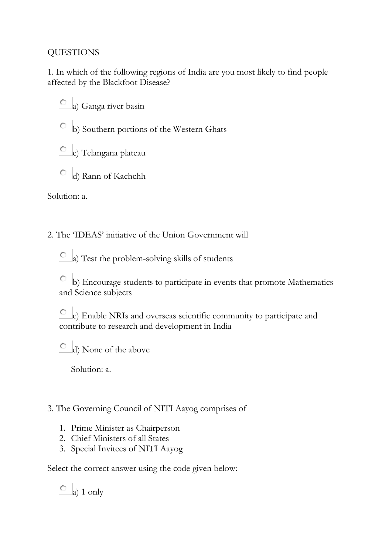# QUESTIONS

1. In which of the following regions of India are you most likely to find people affected by the Blackfoot Disease?

О. a) Ganga river basin

b) Southern portions of the Western Ghats

c) Telangana plateau

d) Rann of Kachchh

Solution: a.

2. The 'IDEAS' initiative of the Union Government will

a) Test the problem-solving skills of students

 $\overline{C}$  b) Encourage students to participate in events that promote Mathematics and Science subjects

О c) Enable NRIs and overseas scientific community to participate and contribute to research and development in India

0. d) None of the above

Solution: a.

3. The Governing Council of NITI Aayog comprises of

- 1. Prime Minister as Chairperson
- 2. Chief Ministers of all States
- 3. Special Invitees of NITI Aayog

Select the correct answer using the code given below:

 $\circ$  a) 1 only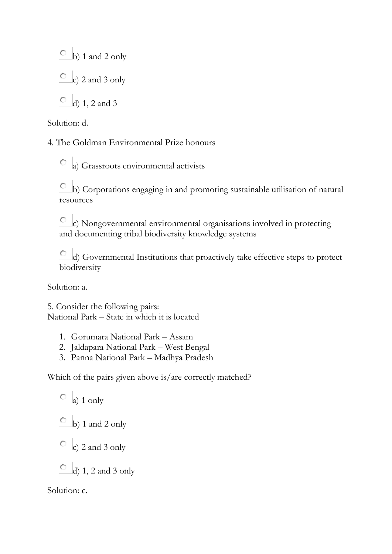$\circ$  b) 1 and 2 only

 $\overline{c}$  c) 2 and 3 only

 $\circ$  d) 1, 2 and 3

Solution: d.

4. The Goldman Environmental Prize honours

a) Grassroots environmental activists

 $\overline{\text{c}}$  b) Corporations engaging in and promoting sustainable utilisation of natural resources

c) Nongovernmental environmental organisations involved in protecting and documenting tribal biodiversity knowledge systems

d) Governmental Institutions that proactively take effective steps to protect biodiversity

Solution: a.

5. Consider the following pairs: National Park – State in which it is located

- 1. Gorumara National Park Assam
- 2. Jaldapara National Park West Bengal
- 3. Panna National Park Madhya Pradesh

Which of the pairs given above is/are correctly matched?

 $\overline{a}$  a) 1 only  $\circ$  b) 1 and 2 only  $\overline{c}$  c) 2 and 3 only

 $\overline{O}$  d) 1, 2 and 3 only

Solution: c.